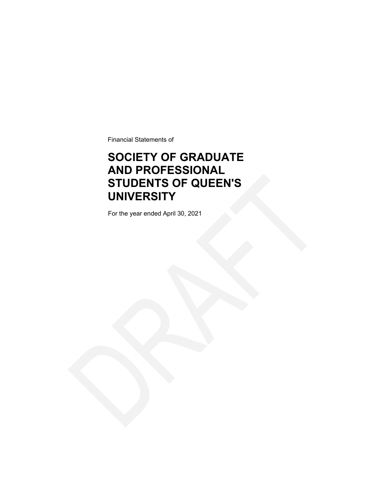Financial Statements of

### **SOCIETY OF GRADUATE AND PROFESSIONAL STUDENTS OF QUEEN'S UNIVERSITY**

For the year ended April 30, 2021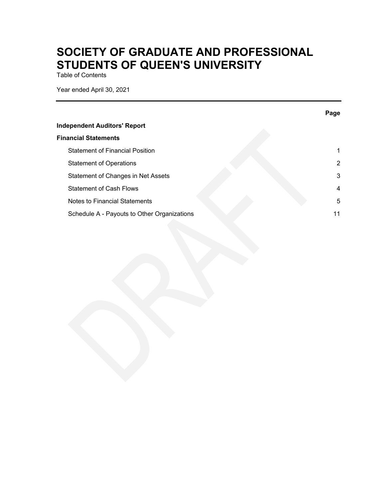Table of Contents

Year ended April 30, 2021

|                                             | Page |
|---------------------------------------------|------|
| <b>Independent Auditors' Report</b>         |      |
| <b>Financial Statements</b>                 |      |
| <b>Statement of Financial Position</b>      | 1.   |
| <b>Statement of Operations</b>              | 2    |
| Statement of Changes in Net Assets          | 3    |
| <b>Statement of Cash Flows</b>              | 4    |
| Notes to Financial Statements               | 5    |
| Schedule A - Payouts to Other Organizations | 11   |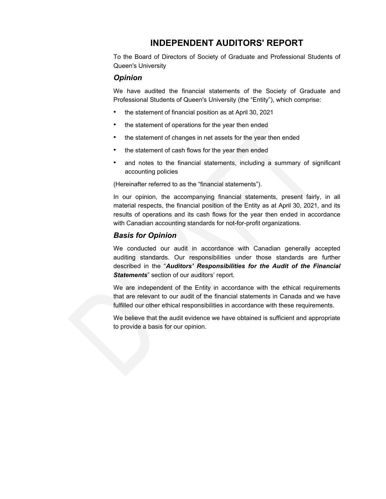### **INDEPENDENT AUDITORS' REPORT**

To the Board of Directors of Society of Graduate and Professional Students of Queen's University

### *Opinion*

We have audited the financial statements of the Society of Graduate and Professional Students of Queen's University (the "Entity"), which comprise:

- the statement of financial position as at April 30, 2021
- the statement of operations for the year then ended
- the statement of changes in net assets for the year then ended
- the statement of cash flows for the year then ended
- and notes to the financial statements, including a summary of significant accounting policies

(Hereinafter referred to as the "financial statements").

In our opinion, the accompanying financial statements, present fairly, in all material respects, the financial position of the Entity as at April 30, 2021, and its results of operations and its cash flows for the year then ended in accordance with Canadian accounting standards for not-for-profit organizations.

### *Basis for Opinion*

We conducted our audit in accordance with Canadian generally accepted auditing standards. Our responsibilities under those standards are further described in the "*Auditors' Responsibilities for the Audit of the Financial Statements*" section of our auditors' report.

We are independent of the Entity in accordance with the ethical requirements that are relevant to our audit of the financial statements in Canada and we have fulfilled our other ethical responsibilities in accordance with these requirements.

We believe that the audit evidence we have obtained is sufficient and appropriate to provide a basis for our opinion.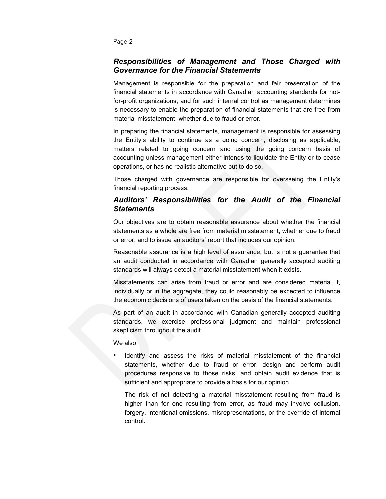Page 2

### *Responsibilities of Management and Those Charged with Governance for the Financial Statements*

Management is responsible for the preparation and fair presentation of the financial statements in accordance with Canadian accounting standards for notfor-profit organizations, and for such internal control as management determines is necessary to enable the preparation of financial statements that are free from material misstatement, whether due to fraud or error.

In preparing the financial statements, management is responsible for assessing the Entity's ability to continue as a going concern, disclosing as applicable, matters related to going concern and using the going concern basis of accounting unless management either intends to liquidate the Entity or to cease operations, or has no realistic alternative but to do so.

Those charged with governance are responsible for overseeing the Entity's financial reporting process.

### *Auditors' Responsibilities for the Audit of the Financial Statements*

Our objectives are to obtain reasonable assurance about whether the financial statements as a whole are free from material misstatement, whether due to fraud or error, and to issue an auditors' report that includes our opinion.

Reasonable assurance is a high level of assurance, but is not a guarantee that an audit conducted in accordance with Canadian generally accepted auditing standards will always detect a material misstatement when it exists.

Misstatements can arise from fraud or error and are considered material if, individually or in the aggregate, they could reasonably be expected to influence the economic decisions of users taken on the basis of the financial statements.

As part of an audit in accordance with Canadian generally accepted auditing standards, we exercise professional judgment and maintain professional skepticism throughout the audit.

We also:

• Identify and assess the risks of material misstatement of the financial statements, whether due to fraud or error, design and perform audit procedures responsive to those risks, and obtain audit evidence that is sufficient and appropriate to provide a basis for our opinion.

The risk of not detecting a material misstatement resulting from fraud is higher than for one resulting from error, as fraud may involve collusion, forgery, intentional omissions, misrepresentations, or the override of internal control.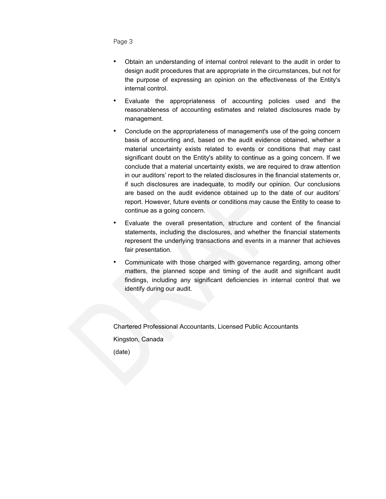Page 3

- Obtain an understanding of internal control relevant to the audit in order to design audit procedures that are appropriate in the circumstances, but not for the purpose of expressing an opinion on the effectiveness of the Entity's internal control.
- Evaluate the appropriateness of accounting policies used and the reasonableness of accounting estimates and related disclosures made by management.
- Conclude on the appropriateness of management's use of the going concern basis of accounting and, based on the audit evidence obtained, whether a material uncertainty exists related to events or conditions that may cast significant doubt on the Entity's ability to continue as a going concern. If we conclude that a material uncertainty exists, we are required to draw attention in our auditors' report to the related disclosures in the financial statements or, if such disclosures are inadequate, to modify our opinion. Our conclusions are based on the audit evidence obtained up to the date of our auditors' report. However, future events or conditions may cause the Entity to cease to continue as a going concern.
- Evaluate the overall presentation, structure and content of the financial statements, including the disclosures, and whether the financial statements represent the underlying transactions and events in a manner that achieves fair presentation.
- Communicate with those charged with governance regarding, among other matters, the planned scope and timing of the audit and significant audit findings, including any significant deficiencies in internal control that we identify during our audit.

Chartered Professional Accountants, Licensed Public Accountants Kingston, Canada (date)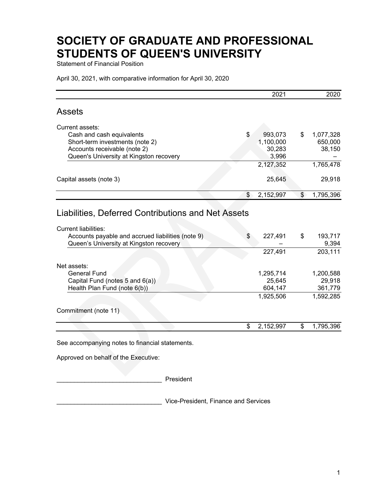Statement of Financial Position

April 30, 2021, with comparative information for April 30, 2020

|                                                                                                                             | 2021               | 2020                   |
|-----------------------------------------------------------------------------------------------------------------------------|--------------------|------------------------|
| <b>Assets</b>                                                                                                               |                    |                        |
| Current assets:                                                                                                             |                    |                        |
| Cash and cash equivalents                                                                                                   | \$<br>993,073      | \$<br>1,077,328        |
| Short-term investments (note 2)                                                                                             | 1,100,000          | 650,000                |
| Accounts receivable (note 2)                                                                                                | 30,283             | 38,150                 |
| Queen's University at Kingston recovery                                                                                     | 3,996<br>2,127,352 | 1,765,478              |
|                                                                                                                             |                    |                        |
| Capital assets (note 3)                                                                                                     | 25,645             | 29,918                 |
|                                                                                                                             |                    |                        |
|                                                                                                                             | \$<br>2,152,997    | \$<br>1,795,396        |
| <b>Current liabilities:</b><br>Accounts payable and accrued liabilities (note 9)<br>Queen's University at Kingston recovery | \$<br>227,491      | \$<br>193,717<br>9,394 |
|                                                                                                                             | 227,491            | 203,111                |
|                                                                                                                             |                    |                        |
| Net assets:                                                                                                                 |                    |                        |
| <b>General Fund</b>                                                                                                         | 1,295,714          | 1,200,588              |
| Capital Fund (notes 5 and 6(a))<br>Health Plan Fund (note 6(b))                                                             | 25,645<br>604,147  | 29,918<br>361,779      |
|                                                                                                                             | 1,925,506          | 1,592,285              |
|                                                                                                                             |                    |                        |
| Commitment (note 11)                                                                                                        |                    |                        |
|                                                                                                                             | \$<br>2,152,997    | \$<br>1,795,396        |
|                                                                                                                             |                    |                        |

See accompanying notes to financial statements.

Approved on behalf of the Executive:

\_\_\_\_\_\_\_\_\_\_\_\_\_\_\_\_\_\_\_\_\_\_\_\_\_\_\_\_\_\_ President

\_\_\_\_\_\_\_\_\_\_\_\_\_\_\_\_\_\_\_\_\_\_\_\_\_\_\_\_\_\_ Vice-President, Finance and Services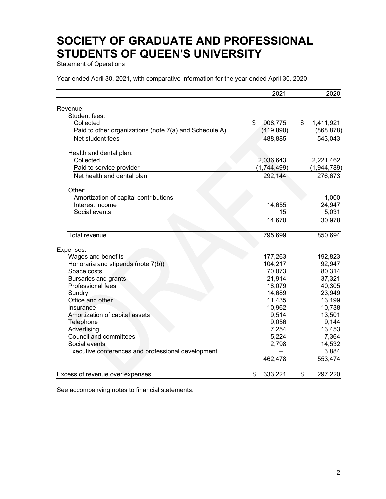Statement of Operations

Year ended April 30, 2021, with comparative information for the year ended April 30, 2020

|                                                        | 2021          |                 | 2020       |
|--------------------------------------------------------|---------------|-----------------|------------|
|                                                        |               |                 |            |
| Revenue:                                               |               |                 |            |
| Student fees:                                          |               |                 |            |
| Collected                                              | 908,775<br>\$ | \$<br>1,411,921 |            |
| Paid to other organizations (note 7(a) and Schedule A) | (419, 890)    |                 | (868, 878) |
| Net student fees                                       | 488,885       |                 | 543,043    |
| Health and dental plan:                                |               |                 |            |
| Collected                                              | 2,036,643     | 2,221,462       |            |
| Paid to service provider                               | (1,744,499)   | (1,944,789)     |            |
| Net health and dental plan                             | 292,144       |                 | 276,673    |
| Other:                                                 |               |                 |            |
| Amortization of capital contributions                  |               |                 | 1,000      |
| Interest income                                        | 14,655        |                 | 24,947     |
| Social events                                          | 15            |                 | 5,031      |
|                                                        | 14,670        |                 | 30,978     |
| Total revenue                                          | 795,699       |                 | 850,694    |
|                                                        |               |                 |            |
| Expenses:                                              |               |                 |            |
| Wages and benefits                                     | 177,263       |                 | 192,823    |
| Honoraria and stipends (note 7(b))                     | 104,217       |                 | 92,947     |
| Space costs                                            | 70,073        |                 | 80,314     |
| <b>Bursaries and grants</b>                            | 21,914        |                 | 37,321     |
| Professional fees                                      | 18,079        |                 | 40,305     |
| Sundry                                                 | 14,689        |                 | 23,949     |
| Office and other                                       | 11,435        |                 | 13,199     |
| Insurance                                              | 10,962        |                 | 10,738     |
| Amortization of capital assets                         | 9,514         |                 | 13,501     |
| Telephone                                              | 9,056         |                 | 9,144      |
| Advertising                                            | 7,254         |                 | 13,453     |
| <b>Council and committees</b>                          | 5,224         |                 | 7,364      |
| Social events                                          | 2,798         |                 | 14,532     |
| Executive conferences and professional development     |               |                 | 3,884      |
|                                                        | 462,478       |                 | 553,474    |
| Excess of revenue over expenses                        | \$<br>333,221 | \$              | 297,220    |

See accompanying notes to financial statements.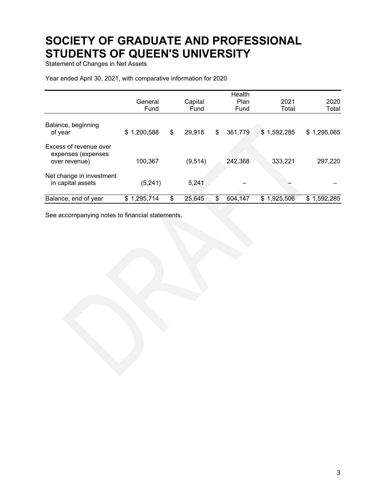Statement of Changes in Net Assets

Year ended April 30, 2021, with comparative information for 2020

|                                                               |                 |              | Health        |             |             |
|---------------------------------------------------------------|-----------------|--------------|---------------|-------------|-------------|
|                                                               | General         | Capital      | Plan          | 2021        | 2020        |
|                                                               | Fund            | Fund         | Fund          | Total       | Total       |
| Balance, beginning<br>of year                                 | \$1,200,588     | \$<br>29,918 | \$<br>361,779 | \$1,592,285 | \$1,295,065 |
| Excess of revenue over<br>expenses (expenses<br>over revenue) | 100,367         | (9, 514)     | 242,368       | 333,221     | 297,220     |
| Net change in investment<br>in capital assets                 | (5,241)         | 5,241        |               |             |             |
| Balance, end of year                                          | 1,295,714<br>\$ | \$<br>25,645 | \$<br>604,147 | \$1,925,506 | \$1,592,285 |

See accompanying notes to financial statements.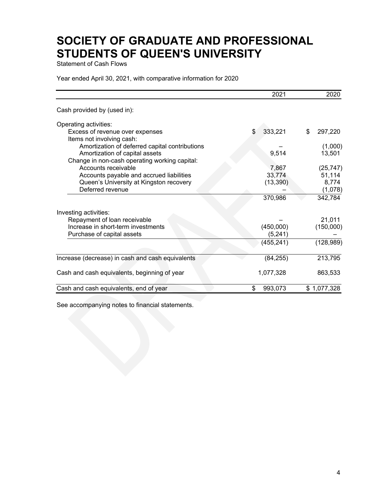Statement of Cash Flows

Year ended April 30, 2021, with comparative information for 2020

|                                                              | 2021          | 2020          |
|--------------------------------------------------------------|---------------|---------------|
| Cash provided by (used in):                                  |               |               |
| Operating activities:                                        |               |               |
| Excess of revenue over expenses<br>Items not involving cash: | \$<br>333,221 | \$<br>297,220 |
| Amortization of deferred capital contributions               |               | (1,000)       |
| Amortization of capital assets                               | 9,514         | 13,501        |
| Change in non-cash operating working capital:                |               |               |
| Accounts receivable                                          | 7,867         | (25, 747)     |
| Accounts payable and accrued liabilities                     | 33,774        | 51,114        |
| Queen's University at Kingston recovery                      | (13, 390)     | 8,774         |
| Deferred revenue                                             |               | (1,078)       |
|                                                              | 370,986       | 342,784       |
| Investing activities:                                        |               |               |
| Repayment of loan receivable                                 |               | 21,011        |
| Increase in short-term investments                           | (450,000)     | (150,000)     |
| Purchase of capital assets                                   | (5, 241)      |               |
|                                                              | (455, 241)    | (128, 989)    |
| Increase (decrease) in cash and cash equivalents             | (84, 255)     | 213,795       |
|                                                              |               |               |
| Cash and cash equivalents, beginning of year                 | 1,077,328     | 863,533       |
| Cash and cash equivalents, end of year                       | \$<br>993,073 | \$1,077,328   |

See accompanying notes to financial statements.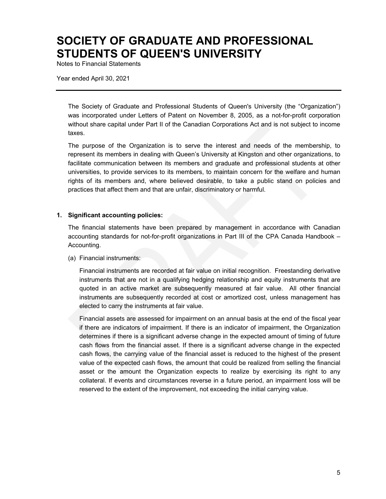Notes to Financial Statements

Year ended April 30, 2021

The Society of Graduate and Professional Students of Queen's University (the "Organization") was incorporated under Letters of Patent on November 8, 2005, as a not-for-profit corporation without share capital under Part II of the Canadian Corporations Act and is not subject to income taxes.

The purpose of the Organization is to serve the interest and needs of the membership, to represent its members in dealing with Queen's University at Kingston and other organizations, to facilitate communication between its members and graduate and professional students at other universities, to provide services to its members, to maintain concern for the welfare and human rights of its members and, where believed desirable, to take a public stand on policies and practices that affect them and that are unfair, discriminatory or harmful.

#### **1. Significant accounting policies:**

The financial statements have been prepared by management in accordance with Canadian accounting standards for not-for-profit organizations in Part III of the CPA Canada Handbook – Accounting.

(a) Financial instruments:

Financial instruments are recorded at fair value on initial recognition. Freestanding derivative instruments that are not in a qualifying hedging relationship and equity instruments that are quoted in an active market are subsequently measured at fair value. All other financial instruments are subsequently recorded at cost or amortized cost, unless management has elected to carry the instruments at fair value.

Financial assets are assessed for impairment on an annual basis at the end of the fiscal year if there are indicators of impairment. If there is an indicator of impairment, the Organization determines if there is a significant adverse change in the expected amount of timing of future cash flows from the financial asset. If there is a significant adverse change in the expected cash flows, the carrying value of the financial asset is reduced to the highest of the present value of the expected cash flows, the amount that could be realized from selling the financial asset or the amount the Organization expects to realize by exercising its right to any collateral. If events and circumstances reverse in a future period, an impairment loss will be reserved to the extent of the improvement, not exceeding the initial carrying value.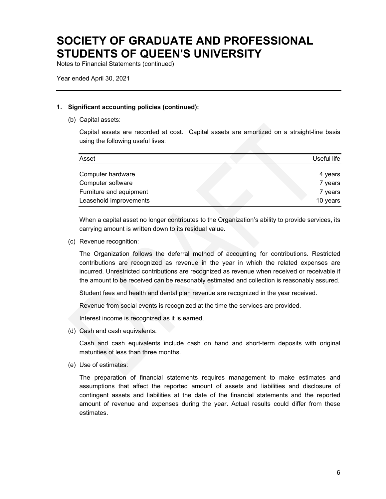Notes to Financial Statements (continued)

Year ended April 30, 2021

#### **1. Significant accounting policies (continued):**

(b) Capital assets:

Capital assets are recorded at cost. Capital assets are amortized on a straight-line basis using the following useful lives:

| Asset                   | Useful life |
|-------------------------|-------------|
| Computer hardware       | 4 years     |
| Computer software       | 7 years     |
| Furniture and equipment | 7 years     |
| Leasehold improvements  | 10 years    |

When a capital asset no longer contributes to the Organization's ability to provide services, its carrying amount is written down to its residual value.

(c) Revenue recognition:

The Organization follows the deferral method of accounting for contributions. Restricted contributions are recognized as revenue in the year in which the related expenses are incurred. Unrestricted contributions are recognized as revenue when received or receivable if the amount to be received can be reasonably estimated and collection is reasonably assured.

Student fees and health and dental plan revenue are recognized in the year received.

Revenue from social events is recognized at the time the services are provided.

Interest income is recognized as it is earned.

(d) Cash and cash equivalents:

Cash and cash equivalents include cash on hand and short-term deposits with original maturities of less than three months.

(e) Use of estimates:

The preparation of financial statements requires management to make estimates and assumptions that affect the reported amount of assets and liabilities and disclosure of contingent assets and liabilities at the date of the financial statements and the reported amount of revenue and expenses during the year. Actual results could differ from these estimates.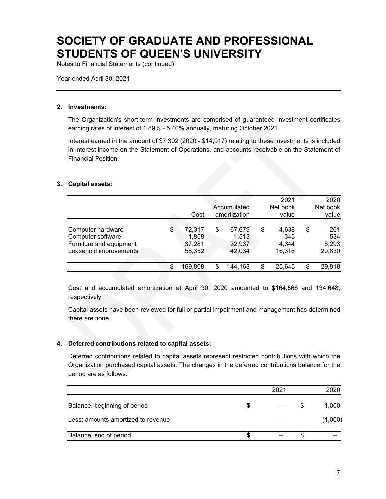Notes to Financial Statements (continued)

Year ended April 30, 2021

#### **2. Investments:**

The Organization's short-term investments are comprised of guaranteed investment certificates earning rates of interest of 1.89% - 5.40% annually, maturing October 2021.

Interest earned in the amount of \$7,392 (2020 - \$14,917) relating to these investments is included in interest income on the Statement of Operations, and accounts receivable on the Statement of Financial Position.

#### **3. Capital assets:**

|                         |               |               | 2021         |    | 2020     |
|-------------------------|---------------|---------------|--------------|----|----------|
|                         |               | Accumulated   | Net book     |    | Net book |
|                         | Cost          | amortization  | value        |    | value    |
|                         |               |               |              |    |          |
| Computer hardware       | \$<br>72,317  | \$<br>67,679  | \$<br>4,638  | \$ | 261      |
| Computer software       | 1,858         | 1,513         | 345          |    | 534      |
| Furniture and equipment | 37,281        | 32,937        | 4,344        |    | 8,293    |
| Leasehold improvements  | 58,352        | 42,034        | 16,318       |    | 20,830   |
|                         | \$<br>169,808 | \$<br>144,163 | \$<br>25.645 | S  | 29,918   |
|                         |               |               |              |    |          |

Cost and accumulated amortization at April 30, 2020 amounted to \$164,566 and 134,648, respectively.

Capital assets have been reviewed for full or partial impairment and management has determined there are none.

#### **4. Deferred contributions related to capital assets:**

Deferred contributions related to capital assets represent restricted contributions with which the Organization purchased capital assets. The changes in the deferred contributions balance for the period are as follows:

|                                    |   | 2021 |   | 2020    |
|------------------------------------|---|------|---|---------|
| Balance, beginning of period       | S |      | S | 1,000   |
| Less: amounts amortized to revenue |   |      |   | (1,000) |
| Balance, end of period             |   |      |   |         |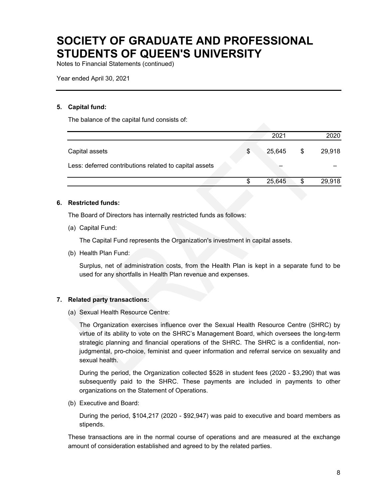Notes to Financial Statements (continued)

Year ended April 30, 2021

#### **5. Capital fund:**

The balance of the capital fund consists of:

|                                                        | 2021         | 2020         |
|--------------------------------------------------------|--------------|--------------|
| Capital assets                                         | \$<br>25,645 | \$<br>29,918 |
| Less: deferred contributions related to capital assets |              |              |
|                                                        | 25,645       | 29,918       |

#### **6. Restricted funds:**

The Board of Directors has internally restricted funds as follows:

(a) Capital Fund:

The Capital Fund represents the Organization's investment in capital assets.

(b) Health Plan Fund:

Surplus, net of administration costs, from the Health Plan is kept in a separate fund to be used for any shortfalls in Health Plan revenue and expenses.

#### **7. Related party transactions:**

(a) Sexual Health Resource Centre:

The Organization exercises influence over the Sexual Health Resource Centre (SHRC) by virtue of its ability to vote on the SHRC's Management Board, which oversees the long-term strategic planning and financial operations of the SHRC. The SHRC is a confidential, nonjudgmental, pro-choice, feminist and queer information and referral service on sexuality and sexual health.

During the period, the Organization collected \$528 in student fees (2020 - \$3,290) that was subsequently paid to the SHRC. These payments are included in payments to other organizations on the Statement of Operations.

(b) Executive and Board:

During the period, \$104,217 (2020 - \$92,947) was paid to executive and board members as stipends.

These transactions are in the normal course of operations and are measured at the exchange amount of consideration established and agreed to by the related parties.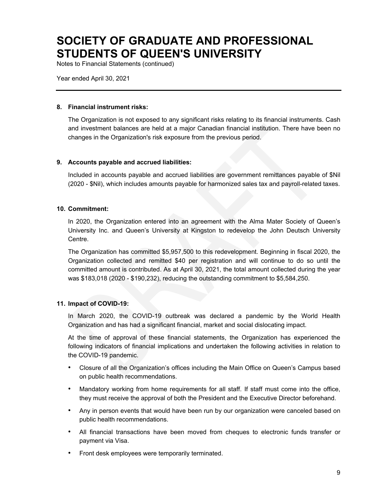Notes to Financial Statements (continued)

Year ended April 30, 2021

#### **8. Financial instrument risks:**

The Organization is not exposed to any significant risks relating to its financial instruments. Cash and investment balances are held at a major Canadian financial institution. There have been no changes in the Organization's risk exposure from the previous period.

#### **9. Accounts payable and accrued liabilities:**

Included in accounts payable and accrued liabilities are government remittances payable of \$Nil (2020 - \$Nil), which includes amounts payable for harmonized sales tax and payroll-related taxes.

#### **10. Commitment:**

In 2020, the Organization entered into an agreement with the Alma Mater Society of Queen's University Inc. and Queen's University at Kingston to redevelop the John Deutsch University Centre.

The Organization has committed \$5,957,500 to this redevelopment. Beginning in fiscal 2020, the Organization collected and remitted \$40 per registration and will continue to do so until the committed amount is contributed. As at April 30, 2021, the total amount collected during the year was \$183,018 (2020 - \$190,232), reducing the outstanding commitment to \$5,584,250.

#### **11. Impact of COVID-19:**

In March 2020, the COVID-19 outbreak was declared a pandemic by the World Health Organization and has had a significant financial, market and social dislocating impact.

At the time of approval of these financial statements, the Organization has experienced the following indicators of financial implications and undertaken the following activities in relation to the COVID-19 pandemic.

- Closure of all the Organization's offices including the Main Office on Queen's Campus based on public health recommendations.
- Mandatory working from home requirements for all staff. If staff must come into the office, they must receive the approval of both the President and the Executive Director beforehand.
- Any in person events that would have been run by our organization were canceled based on public health recommendations.
- All financial transactions have been moved from cheques to electronic funds transfer or payment via Visa.
- Front desk employees were temporarily terminated.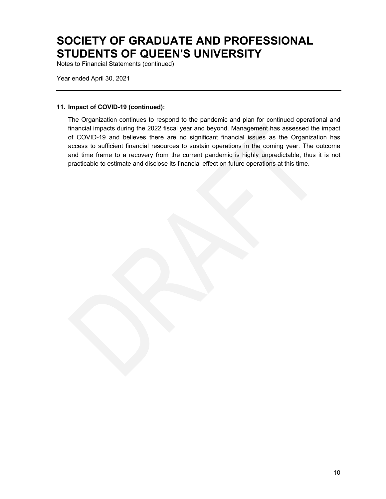Notes to Financial Statements (continued)

Year ended April 30, 2021

#### **11. Impact of COVID-19 (continued):**

The Organization continues to respond to the pandemic and plan for continued operational and financial impacts during the 2022 fiscal year and beyond. Management has assessed the impact of COVID-19 and believes there are no significant financial issues as the Organization has access to sufficient financial resources to sustain operations in the coming year. The outcome and time frame to a recovery from the current pandemic is highly unpredictable, thus it is not practicable to estimate and disclose its financial effect on future operations at this time.